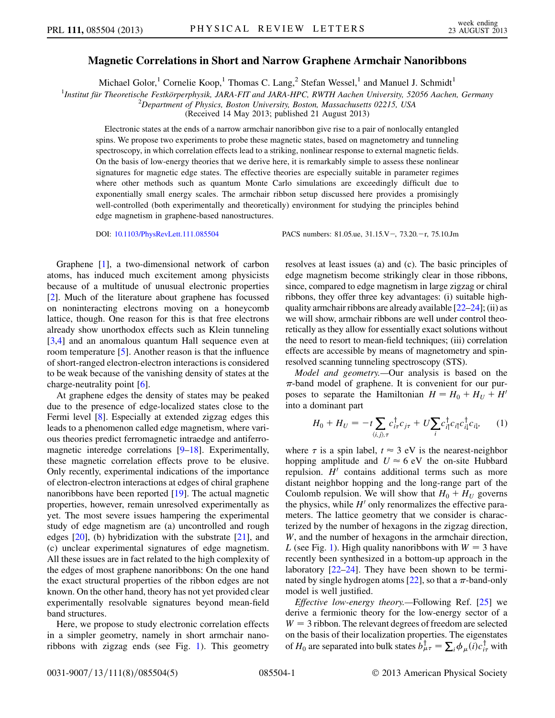## Magnetic Correlations in Short and Narrow Graphene Armchair Nanoribbons

Michael Golor,<sup>1</sup> Cornelie Koop,<sup>1</sup> Thomas C. Lang,<sup>2</sup> Stefan Wessel,<sup>1</sup> and Manuel J. Schmidt<sup>1</sup>

<sup>1</sup>Institut für Theoretische Festkörperphysik, JARA-FIT and JARA-HPC, RWTH Aachen University, 52056 Aachen, Germany<br><sup>2</sup>Department of Physics, Boston University, Boston Massachusette 02215, USA

<sup>2</sup>Department of Physics, Boston University, Boston, Massachusetts 02215, USA

(Received 14 May 2013; published 21 August 2013)

Electronic states at the ends of a narrow armchair nanoribbon give rise to a pair of nonlocally entangled spins. We propose two experiments to probe these magnetic states, based on magnetometry and tunneling spectroscopy, in which correlation effects lead to a striking, nonlinear response to external magnetic fields. On the basis of low-energy theories that we derive here, it is remarkably simple to assess these nonlinear signatures for magnetic edge states. The effective theories are especially suitable in parameter regimes where other methods such as quantum Monte Carlo simulations are exceedingly difficult due to exponentially small energy scales. The armchair ribbon setup discussed here provides a promisingly well-controlled (both experimentally and theoretically) environment for studying the principles behind edge magnetism in graphene-based nanostructures.

DOI: [10.1103/PhysRevLett.111.085504](http://dx.doi.org/10.1103/PhysRevLett.111.085504) PACS numbers: 81.05.ue, 31.15.V-, 73.20.-r, 75.10.Jm

Graphene [\[1](#page-3-0)], a two-dimensional network of carbon atoms, has induced much excitement among physicists because of a multitude of unusual electronic properties [\[2\]](#page-3-1). Much of the literature about graphene has focussed on noninteracting electrons moving on a honeycomb lattice, though. One reason for this is that free electrons already show unorthodox effects such as Klein tunneling [\[3,](#page-3-2)[4](#page-3-3)] and an anomalous quantum Hall sequence even at room temperature [\[5\]](#page-3-4). Another reason is that the influence of short-ranged electron-electron interactions is considered to be weak because of the vanishing density of states at the charge-neutrality point [[6\]](#page-3-5).

At graphene edges the density of states may be peaked due to the presence of edge-localized states close to the Fermi level [\[8](#page-3-6)]. Especially at extended zigzag edges this leads to a phenomenon called edge magnetism, where various theories predict ferromagnetic intraedge and antiferro-magnetic interedge correlations [[9–](#page-3-7)[18](#page-3-8)]. Experimentally, these magnetic correlation effects prove to be elusive. Only recently, experimental indications of the importance of electron-electron interactions at edges of chiral graphene nanoribbons have been reported [\[19\]](#page-3-9). The actual magnetic properties, however, remain unresolved experimentally as yet. The most severe issues hampering the experimental study of edge magnetism are (a) uncontrolled and rough edges [[20](#page-4-0)], (b) hybridization with the substrate [[21](#page-4-1)], and (c) unclear experimental signatures of edge magnetism. All these issues are in fact related to the high complexity of the edges of most graphene nanoribbons: On the one hand the exact structural properties of the ribbon edges are not known. On the other hand, theory has not yet provided clear experimentally resolvable signatures beyond mean-field band structures.

Here, we propose to study electronic correlation effects in a simpler geometry, namely in short armchair nanoribbons with zigzag ends (see Fig. [1](#page-1-0)). This geometry resolves at least issues (a) and (c). The basic principles of edge magnetism become strikingly clear in those ribbons, since, compared to edge magnetism in large zigzag or chiral ribbons, they offer three key advantages: (i) suitable highquality armchair ribbons are already available [[22](#page-4-2)[–24](#page-4-3)]; (ii) as we will show, armchair ribbons are well under control theoretically as they allow for essentially exact solutions without the need to resort to mean-field techniques; (iii) correlation effects are accessible by means of magnetometry and spinresolved scanning tunneling spectroscopy (STS).

Model and geometry.—Our analysis is based on the  $\pi$ -band model of graphene. It is convenient for our purposes to separate the Hamiltonian  $H = H_0 + H_U + H'$ into a dominant part

<span id="page-0-0"></span>
$$
H_0 + H_U = -t \sum_{\langle i,j \rangle, \tau} c_{i\tau}^{\dagger} c_{j\tau} + U \sum_i c_{i\uparrow}^{\dagger} c_{i\uparrow} c_{i\downarrow}^{\dagger} c_{i\downarrow}, \qquad (1)
$$

where  $\tau$  is a spin label,  $t \approx 3$  eV is the nearest-neighbor<br>hopping amplitude and  $U \approx 6$  eV the on-site Hubbard hopping amplitude and  $U \approx 6$  eV the on-site Hubbard<br>repulsion  $H'$  contains additional terms such as more repulsion.  $H'$  contains additional terms such as more distant neighbor hopping and the long-range part of the Coulomb repulsion. We will show that  $H_0 + H_U$  governs the physics, while  $H'$  only renormalizes the effective parameters. The lattice geometry that we consider is characterized by the number of hexagons in the zigzag direction, W, and the number of hexagons in the armchair direction, L (see Fig. [1](#page-1-0)). High quality nanoribbons with  $W = 3$  have recently been synthesized in a bottom-up approach in the laboratory  $[22-24]$  $[22-24]$  $[22-24]$  $[22-24]$  $[22-24]$ . They have been shown to be termi-nated by single hydrogen atoms [[22](#page-4-2)], so that a  $\pi$ -band-only model is well justified.

Effective low-energy theory.—Following Ref. [\[25](#page-4-4)] we derive a fermionic theory for the low-energy sector of a  $W = 3$  ribbon. The relevant degrees of freedom are selected on the basis of their localization properties. The eigenstates of  $H_0$  are separated into bulk states  $b_{\mu\tau}^{\dagger} = \sum_i \phi_{\mu}(i) c_{i\tau}^{\dagger}$  with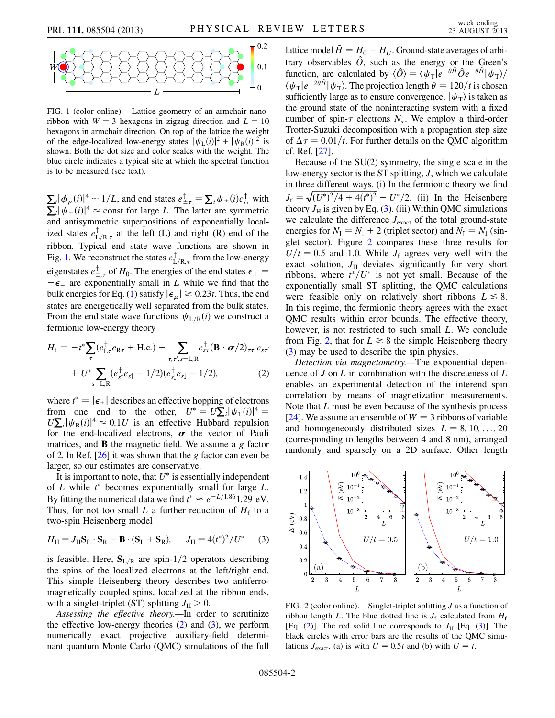<span id="page-1-0"></span>

FIG. 1 (color online). Lattice geometry of an armchair nanoribbon with  $W = 3$  hexagons in zigzag direction and  $L = 10$ hexagons in armchair direction. On top of the lattice the weight of the edge-localized low-energy states  $|\psi_{\text{L}}(i)|^2 + |\psi_{\text{R}}(i)|^2$  is shown. Both the dot size and color scales with the weight. The blue circle indicates a typical site at which the spectral function is to be measured (see text).

 $\sum_i |\phi_{\mu}(i)|^4 \sim 1/L$ , and end states  $e^{\pm}_{\pm\tau} = \sum_i \psi_{\pm}(i) c^{\dagger}_{i\tau}$  with  $\sum_i |\psi_{\pm}(i)|^4 \approx$  const for large L. The latter are symmetric  $\sum_i |\psi_{\pm}(i)|^4 \approx$  const for large L. The latter are symmetric<br>and antisymmetric superpositions of exponentially localand antisymmetric superpositions of exponentially localized states  $e_{L/R,\tau}^{T}$  at the left (L) and right (R) end of the without and other wave functions are shown in ribbon. Typical end state wave functions are shown in Fig. [1.](#page-1-0) We reconstruct the states  $e_{L/R,\tau}^{\dagger}$  from the low-energy  $L/R, \tau$ eigenstates  $e_{\perp,\tau}^{\dagger}$  of  $H_0$ . The energies of the end states  $\epsilon_+ =$  $\epsilon_{\pm} = \epsilon_{\pm}$  are exponentially small in L while we find that the<br>bulk energies for Eq. (1) satisfy  $|\epsilon| \ge 0.23t$ . Thus the end bulk energies for Eq. [\(1](#page-0-0)) satisfy  $|\epsilon_{\mu}| \gtrsim 0.23t$ . Thus, the end states are energetically well separated from the bulk states. From the end state wave functions  $\psi_{L/R}(i)$  we construct a fermionic low-energy theory

<span id="page-1-1"></span>
$$
H_{\rm f} = -t^* \sum_{\tau} (e_{\rm L\tau}^{\dagger} e_{\rm R\tau} + \text{H.c.}) - \sum_{\tau,\tau',s=\rm L,R} e_{s\tau}^{\dagger} (\mathbf{B} \cdot \boldsymbol{\sigma}/2)_{\tau\tau'} e_{s\tau'}
$$

$$
+ U^* \sum_{s=\rm L,R} (e_{s\uparrow}^{\dagger} e_{s\uparrow} - 1/2) (e_{s\downarrow}^{\dagger} e_{s\downarrow} - 1/2), \tag{2}
$$

where  $t^* = |\epsilon_{\pm}|$  describes an effective hopping of electrons<br>from one end to the other  $U^* = U \Sigma \, |j_{\ell}, (i)|^4 =$ from one end to the other,  $U^* = U \sum_i |\psi_L(i)|^4 =$ <br> $U \sum_i |d_E(i)|^4 \approx 0.1$  is an effective Hubbard repulsion  $U\sum_i |\psi_R(i)|^4 \approx 0.1U$  is an effective Hubbard repulsion<br>for the end-localized electrons  $\sigma$  the vector of Pauli for the end-localized electrons,  $\sigma$  the vector of Pauli matrices, and  $\bf{B}$  the magnetic field. We assume a g factor of 2. In Ref.  $[26]$  it was shown that the g factor can even be larger, so our estimates are conservative.

It is important to note, that  $U^*$  is essentially independent of L while  $t^*$  becomes exponentially small for large L.<br>By fitting the numerical data we find  $t^* \approx a^{-L/1.861}$  20 eV. By fitting the numerical data we find  $t^* \approx e^{-L/1.86}1.29$  eV.<br>Thus for not too small L a further reduction of H<sub>s</sub> to a Thus, for not too small L a further reduction of  $H_f$  to a two-spin Heisenberg model

<span id="page-1-2"></span>
$$
H_{\rm H} = J_{\rm H} \mathbf{S}_{\rm L} \cdot \mathbf{S}_{\rm R} - \mathbf{B} \cdot (\mathbf{S}_{\rm L} + \mathbf{S}_{\rm R}), \qquad J_{\rm H} = 4(t^*)^2 / U^* \tag{3}
$$

is feasible. Here,  $S_{L/R}$  are spin-1/2 operators describing the spins of the localized electrons at the left/right end. This simple Heisenberg theory describes two antiferromagnetically coupled spins, localized at the ribbon ends, with a singlet-triplet (ST) splitting  $J_{\rm H} > 0$ .

Assessing the effective theory.—In order to scrutinize the effective low-energy theories  $(2)$  $(2)$  and  $(3)$  $(3)$ , we perform numerically exact projective auxiliary-field determinant quantum Monte Carlo (QMC) simulations of the full

lattice model  $\tilde{H} = H_0 + H_U$ . Ground-state averages of arbitrary observables  $\hat{O}$ , such as the energy or the Green's function, are calculated by  $\langle \hat{O} \rangle = \langle \psi_{\text{T}} | e^{-\theta \hat{H}} \hat{O} e^{-\theta \hat{H}} | \psi_{\text{T}} \rangle /$  $\langle \psi_{\rm T}|e^{-2\theta \tilde{H}}|\psi_{\rm T}\rangle$ . The projection length  $\theta = 120/t$  is chosen<br>sufficiently large as to ensure convergence  $|\psi_{\rm T}\rangle$  is taken as sufficiently large as to ensure convergence.  $|\psi_{\rm T}\rangle$  is taken as the ground state of the noninteracting system with a fixed number of spin- $\tau$  electrons  $N_{\tau}$ . We employ a third-order<br>Trotter-Suzuki decomposition with a propagation step size Trotter-Suzuki decomposition with a propagation step size of  $\Delta \tau = 0.01/t$ . For further details on the QMC algorithm of Ref. [27] cf. Ref. [[27\]](#page-4-6).

Because of the SU(2) symmetry, the single scale in the low-energy sector is the ST splitting, J, which we calculate in three different ways. (i) In the fermionic theory we find  $J_f = \sqrt{(U^*)^2/4 + 4(t^*)^2} - U^*/2$ . (ii) In the Heisenberg theory  $I_{\rm vt}$  is given by Eq. (3) (iii) Within OMC simulations theory  $J_H$  is given by Eq. [\(3\)](#page-1-2). (iii) Within QMC simulations we calculate the difference  $J_{\text{exact}}$  of the total ground-state energies for  $N_{\uparrow} = N_{\downarrow} + 2$  (triplet sector) and  $N_{\uparrow} = N_{\downarrow}$  (singlet sector). Figure [2](#page-1-3) compares these three results for  $U/t = 0.5$  and 1.0. While  $J_f$  agrees very well with the exact solution,  $J_H$  deviates significantly for very short ribbons, where  $t^*/U^*$  is not yet small. Because of the exponentially small ST splitting the OMC calculations exponentially small ST splitting, the QMC calculations were feasible only on relatively short ribbons  $L \le 8$ . In this regime, the fermionic theory agrees with the exact QMC results within error bounds. The effective theory, however, is not restricted to such small L. We conclude from Fig. [2,](#page-1-3) that for  $L \ge 8$  the simple Heisenberg theory [\(3\)](#page-1-2) may be used to describe the spin physics.

Detection via magnetometry.—The exponential dependence of  $J$  on  $L$  in combination with the discreteness of  $L$ enables an experimental detection of the interend spin correlation by means of magnetization measurements. Note that L must be even because of the synthesis process [\[24\]](#page-4-3). We assume an ensemble of  $W = 3$  ribbons of variable and homogeneously distributed sizes  $L = 8, 10, \ldots, 20$ (corresponding to lengths between 4 and 8 nm), arranged randomly and sparsely on a 2D surface. Other length

<span id="page-1-3"></span>

FIG. 2 (color online). Singlet-triplet splitting  $J$  as a function of ribbon length L. The blue dotted line is  $J_f$  calculated from  $H_f$ [Eq. [\(2\)](#page-1-1)]. The red solid line corresponds to  $J<sub>H</sub>$  [Eq. [\(3\)](#page-1-2)]. The black circles with error bars are the results of the QMC simulations  $J_{\text{exact}}$ . (a) is with  $U = 0.5t$  and (b) with  $U = t$ .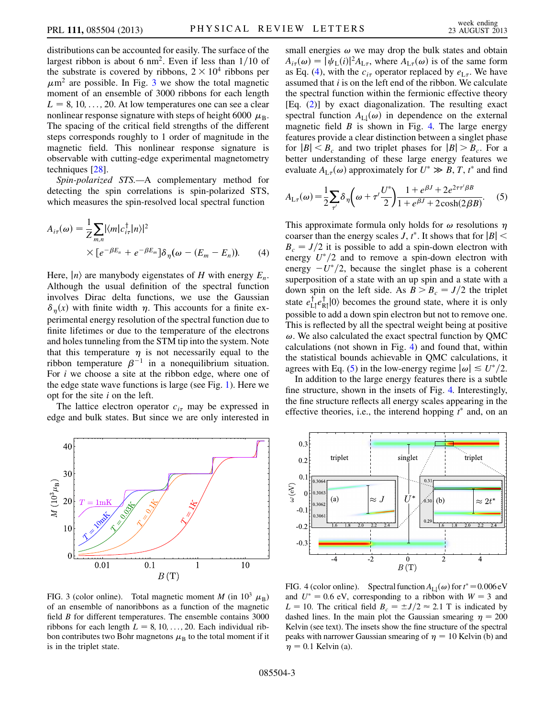distributions can be accounted for easily. The surface of the largest ribbon is about 6 nm<sup>2</sup>. Even if less than  $1/10$  of the substrate is covered by ribbons,  $2 \times 10^4$  ribbons per  $\mu$ m<sup>2</sup> are possible. In Fig. [3](#page-2-0) we show the total magnetic moment of an ensemble of 3000 ribbons for each length  $L = 8, 10, \ldots, 20$ . At low temperatures one can see a clear nonlinear response signature with steps of height 6000  $\mu_{\rm B}$ . The spacing of the critical field strengths of the different steps corresponds roughly to 1 order of magnitude in the magnetic field. This nonlinear response signature is observable with cutting-edge experimental magnetometry techniques [\[28\]](#page-4-7).

Spin-polarized STS.—A complementary method for detecting the spin correlations is spin-polarized STS, which measures the spin-resolved local spectral function

<span id="page-2-1"></span>
$$
A_{i\tau}(\omega) = \frac{1}{Z} \sum_{m,n} |\langle m | c_{i\tau}^{\dagger} | n \rangle|^2
$$
  
 
$$
\times [e^{-\beta E_n} + e^{-\beta E_m}] \delta_{\eta}(\omega - (E_m - E_n)). \tag{4}
$$

Here,  $\ket{n}$  are manybody eigenstates of H with energy  $E_n$ . Although the usual definition of the spectral function involves Dirac delta functions, we use the Gaussian  $\delta_n(x)$  with finite width  $\eta$ . This accounts for a finite experimental energy resolution of the spectral function due to finite lifetimes or due to the temperature of the electrons and holes tunneling from the STM tip into the system. Note that this temperature  $\eta$  is not necessarily equal to the ribbon temperature  $\beta^{-1}$  in a nonequilibrium situation. For  $i$  we choose a site at the ribbon edge, where one of the edge state wave functions is large (see Fig. [1\)](#page-1-0). Here we opt for the site  $i$  on the left.

The lattice electron operator  $c_{i\tau}$  may be expressed in<br>ge and bulk states. But since we are only interested in edge and bulk states. But since we are only interested in

<span id="page-2-0"></span>

FIG. 3 (color online). Total magnetic moment M (in  $10^3 \mu_B$ ) of an ensemble of nanoribbons as a function of the magnetic field B for different temperatures. The ensemble contains 3000 ribbons for each length  $L = 8, 10, \ldots, 20$ . Each individual ribbon contributes two Bohr magnetons  $\mu_B$  to the total moment if it is in the triplet state.

small energies  $\omega$  we may drop the bulk states and obtain as Eq. [\(4\)](#page-2-1), with the  $c_{i\tau}$  operator replaced by  $e_{L\tau}$ . We have<br>assumed that *i* is on the left end of the ribbon. We calculate  $\phi(\omega) = |\psi_L(i)|^2 A_{L\tau}$ , where  $A_{L\tau}(\omega)$  is of the same form<br>Eq. (4) with the c, operator replaced by e. We have assumed that i is on the left end of the ribbon. We calculate the spectral function within the fermionic effective theory [Eq. [\(2\)](#page-1-1)] by exact diagonalization. The resulting exact spectral function  $A_{\text{L}}(\omega)$  in dependence on the external magnetic field  $B$  is shown in Fig. [4.](#page-2-2) The large energy features provide a clear distinction between a singlet phase for  $|B| < B_c$  and two triplet phases for  $|B| > B_c$ . For a better understanding of these large energy features we evaluate  $A_{L\tau}(\omega)$  approximately for  $U^* \gg B, T, t^*$  and find

<span id="page-2-3"></span>
$$
A_{\mathrm{L}\tau}(\omega) = \frac{1}{2} \sum_{\tau'} \delta_{\eta} \left( \omega + \tau' \frac{U^*}{2} \right) \frac{1 + e^{\beta J} + 2e^{2\tau \tau' \beta B}}{1 + e^{\beta J} + 2\cosh(2\beta B)}. \tag{5}
$$

This approximate formula only holds for  $\omega$  resolutions  $\eta$ coarser than the energy scales *J*,  $t^*$ . It shows that for  $|B| < R = I/2$  it is possible to add a spin-down electron with  $B_c = J/2$  it is possible to add a spin-down electron with energy  $U^*/2$  and to remove a spin-down electron with energy  $-U^*/2$ , because the singlet phase is a coherent superposition of a state with an up spin and a state with a down spin on the left side. As  $B > B_c = J/2$  the triplet state  $e_{\text{L}1}^{\dagger}e_{\text{R}1}^{\dagger}|0\rangle$  becomes the ground state, where it is only possible to add a down spin electron but not to remove one. This is reflected by all the spectral weight being at positive  $\omega$ . We also calculated the exact spectral function by QMC calculations (not shown in Fig. [4](#page-2-2)) and found that, within the statistical bounds achievable in QMC calculations, it agrees with Eq. [\(5\)](#page-2-3) in the low-energy regime  $|\omega| \leq U^*/2$ .

In addition to the large energy features there is a subtle fine structure, shown in the insets of Fig. [4.](#page-2-2) Interestingly, the fine structure reflects all energy scales appearing in the effective theories, i.e., the interend hopping  $t^*$  and, on an

<span id="page-2-2"></span>

FIG. 4 (color online). Spectral function  $A_{L\downarrow}(\omega)$  for  $t^* = 0.006 \text{ eV}$ <br>and  $U^* = 0.6 \text{ eV}$ , corresponding to a ribbon with  $W = 3$  and and  $U^* = 0.6$  eV, corresponding to a ribbon with  $W = 3$  and  $L = 10$ . The critical field  $B_c = \pm J/2 \approx 2.1$  T is indicated by dashed lines. In the main plot the Gaussian smearing  $n = 200$ dashed lines. In the main plot the Gaussian smearing  $\eta = 200$ Kelvin (see text). The insets show the fine structure of the spectral peaks with narrower Gaussian smearing of  $\eta = 10$  Kelvin (b) and  $\eta = 0.1$  Kelvin (a).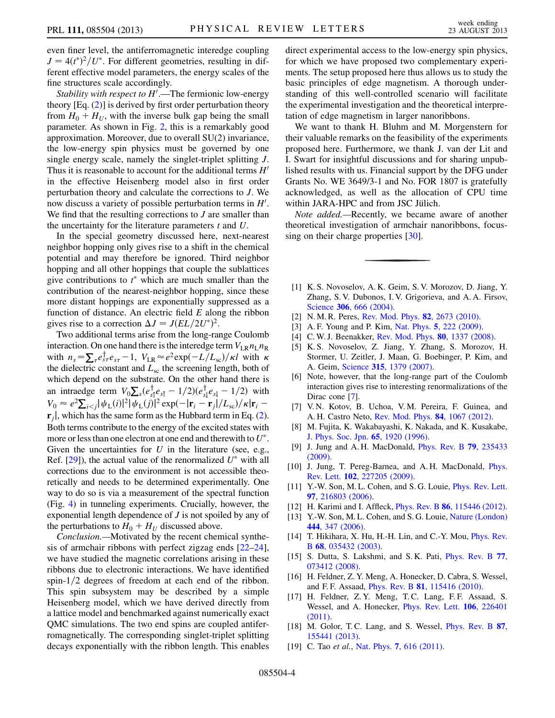even finer level, the antiferromagnetic interedge coupling  $J = 4(t^*)^2/U^*$ . For different geometries, resulting in different effective model parameters, the energy scales of the ferent effective model parameters, the energy scales of the fine structures scale accordingly.

*Stability with respect to H'*.—The fermionic low-energy  $\frac{1}{2}$  ory [Eq. (2)] is derived by first order perturbation theory theory [Eq. [\(2\)](#page-1-1)] is derived by first order perturbation theory from  $H_0 + H_U$ , with the inverse bulk gap being the small parameter. As shown in Fig. [2,](#page-1-3) this is a remarkably good approximation. Moreover, due to overall SU(2) invariance, the low-energy spin physics must be governed by one single energy scale, namely the singlet-triplet splitting J. Thus it is reasonable to account for the additional terms  $H<sup>1</sup>$ in the effective Heisenberg model also in first order perturbation theory and calculate the corrections to J. We now discuss a variety of possible perturbation terms in  $H'$ .<br>We find that the resulting corrections to Lare smaller than We find that the resulting corrections to  $J$  are smaller than the uncertainty for the literature parameters  $t$  and  $U$ .

In the special geometry discussed here, next-nearest neighbor hopping only gives rise to a shift in the chemical potential and may therefore be ignored. Third neighbor hopping and all other hoppings that couple the sublattices give contributions to  $t^*$  which are much smaller than the contribution of the nearest-neighbor bonning since these contribution of the nearest-neighbor hopping, since these more distant hoppings are exponentially suppressed as a function of distance. An electric field  $E$  along the ribbon gives rise to a correction  $\Delta J = J(EL/2U^*)^2$ .<br>Two additional terms arise from the long-ray

Two additional terms arise from the long-range Coulomb interaction. On one hand there is the interedge term  $V_{LR}n_Ln_R$ with  $n_s = \sum_{\tau} e_{s\tau}^{\dagger} e_{s\tau} - 1$ ,  $V_{LR} \approx e^2 \exp(-L/L_{sc})/\kappa l$  with  $\kappa$  the dielectric constant and  $L_{sc}$  the screening length, both of which denend on the substrate. On the other hand there is which depend on the substrate. On the other hand there is an intraedge term  $V_0 \sum_s (e_{s\uparrow}^{\dagger} e_{s\uparrow} - 1/2)(e_{s\downarrow}^{\dagger} e_{s\downarrow} - 1/2)$  with  $s^{s+1}$   $\qquad$   $\qquad$   $\qquad$   $\qquad$   $\qquad$   $\qquad$   $\qquad$   $\qquad$   $\qquad$   $\qquad$   $\qquad$   $\qquad$   $\qquad$   $\qquad$   $\qquad$   $\qquad$   $\qquad$   $\qquad$   $\qquad$   $\qquad$   $\qquad$   $\qquad$   $\qquad$   $\qquad$   $\qquad$   $\qquad$   $\qquad$   $\qquad$   $\qquad$   $\qquad$   $\qquad$   $\qquad$   $\qquad$   $\qquad$   $\qquad$   $\$  $V_0 \approx e^2 \sum_{i \le j} |\psi_{\rm L}(i)|^2 |\psi_{\rm L}(j)|^2 \exp(-|\mathbf{r}_i - \mathbf{r}_j|/L_{\rm sc})/|\mathbf{r}_i -$ <br> $\mathbf{r} \perp$  which has the same form as the Hubbard term in Eq. (2)  $\mathbf{r}_i$ , which has the same form as the Hubbard term in Eq. [\(2](#page-1-1)). Both terms contribute to the energy of the excited states with more or less than one electron at one end and therewith to  $U^*$ . Given the uncertainties for  $U$  in the literature (see, e.g., Ref.  $[29]$  $[29]$ , the actual value of the renormalized  $U^*$  with all corrections due to the environment is not accessible theoretically and needs to be determined experimentally. One way to do so is via a measurement of the spectral function (Fig. [4\)](#page-2-2) in tunneling experiments. Crucially, however, the exponential length dependence of J is not spoiled by any of the perturbations to  $H_0 + H_U$  discussed above.

Conclusion.—Motivated by the recent chemical synthesis of armchair ribbons with perfect zigzag ends [[22](#page-4-2)[–24\]](#page-4-3), we have studied the magnetic correlations arising in these ribbons due to electronic interactions. We have identified spin- $1/2$  degrees of freedom at each end of the ribbon. This spin subsystem may be described by a simple Heisenberg model, which we have derived directly from a lattice model and benchmarked against numerically exact QMC simulations. The two end spins are coupled antiferromagnetically. The corresponding singlet-triplet splitting decays exponentially with the ribbon length. This enables direct experimental access to the low-energy spin physics, for which we have proposed two complementary experiments. The setup proposed here thus allows us to study the basic principles of edge magnetism. A thorough understanding of this well-controlled scenario will facilitate the experimental investigation and the theoretical interpretation of edge magnetism in larger nanoribbons.

We want to thank H. Bluhm and M. Morgenstern for their valuable remarks on the feasibility of the experiments proposed here. Furthermore, we thank J. van der Lit and I. Swart for insightful discussions and for sharing unpublished results with us. Financial support by the DFG under Grants No. WE 3649/3-1 and No. FOR 1807 is gratefully acknowledged, as well as the allocation of CPU time within JARA-HPC and from JSC Jülich.

Note added.—Recently, we became aware of another theoretical investigation of armchair nanoribbons, focus-sing on their charge properties [[30\]](#page-4-9).

- <span id="page-3-1"></span><span id="page-3-0"></span>[1] K. S. Novoselov, A. K. Geim, S. V. Morozov, D. Jiang, Y. Zhang, S. V. Dubonos, I. V. Grigorieva, and A. A. Firsov, Science **306**[, 666 \(2004\).](http://dx.doi.org/10.1126/science.1102896)
- <span id="page-3-3"></span><span id="page-3-2"></span>[2] N. M. R. Peres, [Rev. Mod. Phys.](http://dx.doi.org/10.1103/RevModPhys.82.2673) 82, 2673 (2010).
- <span id="page-3-4"></span>[3] A. F. Young and P. Kim, Nat. Phys. 5[, 222 \(2009\)](http://dx.doi.org/10.1038/nphys1198).
- [4] C. W. J. Beenakker, [Rev. Mod. Phys.](http://dx.doi.org/10.1103/RevModPhys.80.1337) **80**, 1337 (2008).
- <span id="page-3-5"></span>[5] K. S. Novoselov, Z. Jiang, Y. Zhang, S. Morozov, H. Stormer, U. Zeitler, J. Maan, G. Boebinger, P. Kim, and A. Geim, Science 315[, 1379 \(2007\).](http://dx.doi.org/10.1126/science.1137201)
- <span id="page-3-10"></span>[6] Note, however, that the long-range part of the Coulomb interaction gives rise to interesting renormalizations of the Dirac cone [\[7\]](#page-3-10).
- <span id="page-3-6"></span>[7] V. N. Kotov, B. Uchoa, V. M. Pereira, F. Guinea, and A. H. Castro Neto, [Rev. Mod. Phys.](http://dx.doi.org/10.1103/RevModPhys.84.1067) 84, 1067 (2012).
- <span id="page-3-7"></span>[8] M. Fujita, K. Wakabayashi, K. Nakada, and K. Kusakabe, [J. Phys. Soc. Jpn.](http://dx.doi.org/10.1143/JPSJ.65.1920) 65, 1920 (1996).
- [9] J. Jung and A. H. MacDonald, [Phys. Rev. B](http://dx.doi.org/10.1103/PhysRevB.79.235433) 79, 235433 [\(2009\)](http://dx.doi.org/10.1103/PhysRevB.79.235433).
- [10] J. Jung, T. Pereg-Barnea, and A.H. MacDonald, *[Phys.](http://dx.doi.org/10.1103/PhysRevLett.102.227205)* Rev. Lett. 102[, 227205 \(2009\).](http://dx.doi.org/10.1103/PhysRevLett.102.227205)
- [11] Y.-W. Son, M. L. Cohen, and S. G. Louie, *[Phys. Rev. Lett.](http://dx.doi.org/10.1103/PhysRevLett.97.216803)* 97[, 216803 \(2006\)](http://dx.doi.org/10.1103/PhysRevLett.97.216803).
- [12] H. Karimi and I. Affleck, *Phys. Rev. B* 86[, 115446 \(2012\).](http://dx.doi.org/10.1103/PhysRevB.86.115446)
- [13] Y.-W. Son, M. L. Cohen, and S. G. Louie, [Nature \(London\)](http://dx.doi.org/10.1038/nature05180) 444[, 347 \(2006\).](http://dx.doi.org/10.1038/nature05180)
- [14] T. Hikihara, X. Hu, H.-H. Lin, and C.-Y. Mou, *[Phys. Rev.](http://dx.doi.org/10.1103/PhysRevB.68.035432)* B 68[, 035432 \(2003\).](http://dx.doi.org/10.1103/PhysRevB.68.035432)
- [15] S. Dutta, S. Lakshmi, and S.K. Pati, *[Phys. Rev. B](http://dx.doi.org/10.1103/PhysRevB.77.073412) 77,* [073412 \(2008\).](http://dx.doi.org/10.1103/PhysRevB.77.073412)
- [16] H. Feldner, Z. Y. Meng, A. Honecker, D. Cabra, S. Wessel, and F. F. Assaad, Phys. Rev. B 81[, 115416 \(2010\)](http://dx.doi.org/10.1103/PhysRevB.81.115416).
- <span id="page-3-8"></span>[17] H. Feldner, Z. Y. Meng, T. C. Lang, F. F. Assaad, S. Wessel, and A. Honecker, [Phys. Rev. Lett.](http://dx.doi.org/10.1103/PhysRevLett.106.226401) 106, 226401 [\(2011\)](http://dx.doi.org/10.1103/PhysRevLett.106.226401).
- <span id="page-3-9"></span>[18] M. Golor, T.C. Lang, and S. Wessel, *[Phys. Rev. B](http://dx.doi.org/10.1103/PhysRevB.87.155441)* 87, [155441 \(2013\).](http://dx.doi.org/10.1103/PhysRevB.87.155441)
- [19] C. Tao *et al.*, Nat. Phys. 7[, 616 \(2011\)](http://dx.doi.org/10.1038/nphys1991).